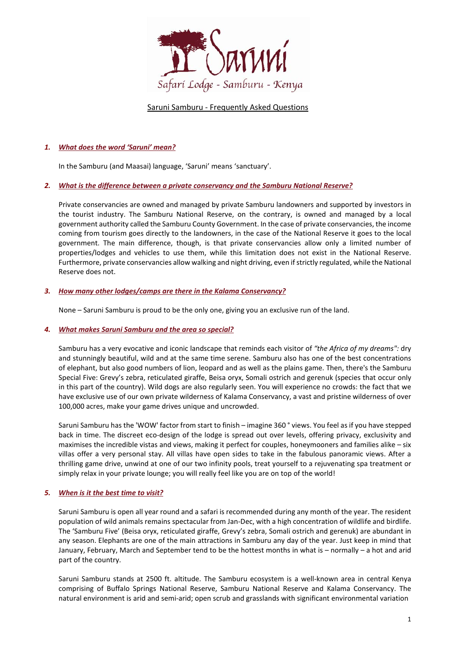

## Saruni Samburu - Frequently Asked Questions

# *1. What does the word 'Saruni' mean?*

In the Samburu (and Maasai) language, 'Saruni' means 'sanctuary'.

## *2. What is the difference between a private conservancy and the Samburu National Reserve?*

Private conservancies are owned and managed by private Samburu landowners and supported by investors in the tourist industry. The Samburu National Reserve, on the contrary, is owned and managed by a local government authority called the Samburu County Government. In the case of private conservancies, the income coming from tourism goes directly to the landowners, in the case of the National Reserve it goes to the local government. The main difference, though, is that private conservancies allow only a limited number of properties/lodges and vehicles to use them, while this limitation does not exist in the National Reserve. Furthermore, private conservancies allow walking and night driving, even if strictly regulated, while the National Reserve does not.

## *3. How many other lodges/camps are there in the Kalama Conservancy?*

None – Saruni Samburu is proud to be the only one, giving you an exclusive run of the land.

## *4. What makes Saruni Samburu and the area so special?*

Samburu has a very evocative and iconic landscape that reminds each visitor of *"the Africa of my dreams":* dry and stunningly beautiful, wild and at the same time serene. Samburu also has one of the best concentrations of elephant, but also good numbers of lion, leopard and as well as the plains game. Then, there's the Samburu Special Five: Grevy's zebra, reticulated giraffe, Beisa oryx, Somali ostrich and gerenuk (species that occur only in this part of the country). Wild dogs are also regularly seen. You will experience no crowds: the fact that we have exclusive use of our own private wilderness of Kalama Conservancy, a vast and pristine wilderness of over 100,000 acres, make your game drives unique and uncrowded.

Saruni Samburu has the 'WOW' factor from start to finish – imagine 360 ° views. You feel as if you have stepped back in time. The discreet eco-design of the lodge is spread out over levels, offering privacy, exclusivity and maximises the incredible vistas and views, making it perfect for couples, honeymooners and families alike – six villas offer a very personal stay. All villas have open sides to take in the fabulous panoramic views. After a thrilling game drive, unwind at one of our two infinity pools, treat yourself to a rejuvenating spa treatment or simply relax in your private lounge; you will really feel like you are on top of the world!

## *5. [When](http://www.sarunimara.com/questions/2.htm) is it the best time to visit?*

Saruni Samburu is open all year round and a safari is recommended during any month of the year. The resident population of wild animals remains spectacular from Jan-Dec, with a high concentration of wildlife and birdlife. The 'Samburu Five' (Beisa oryx, reticulated giraffe, Grevy's zebra, Somali ostrich and gerenuk) are abundant in any season. Elephants are one of the main attractions in Samburu any day of the year. Just keep in mind that January, February, March and September tend to be the hottest months in what is – normally – a hot and arid part of the country.

Saruni Samburu stands at 2500 ft. altitude. The Samburu ecosystem is a well-known area in central Kenya comprising of Buffalo Springs National Reserve, Samburu National Reserve and Kalama Conservancy. The natural environment is arid and semi-arid; open scrub and grasslands with significant environmental variation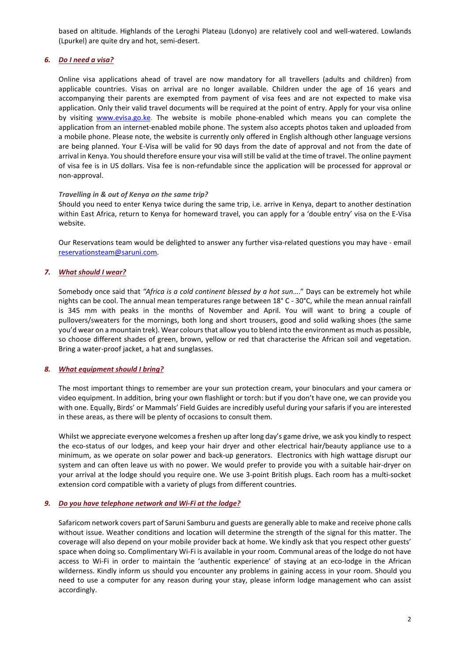based on altitude. Highlands of the Leroghi Plateau (Ldonyo) are relatively cool and well-watered. Lowlands (Lpurkel) are quite dry and hot, semi-desert.

# *6. Do I need a visa?*

Online visa applications ahead of travel are now mandatory for all travellers (adults and children) from applicable countries. Visas on arrival are no longer available. Children under the age of 16 years and accompanying their parents are exempted from payment of visa fees and are not expected to make visa application. Only their valid travel documents will be required at the point of entry. Apply for your visa online by visiting [www.evisa.go.ke.](http://www.evisa.go.ke/) The website is mobile phone-enabled which means you can complete the application from an internet-enabled mobile phone. The system also accepts photos taken and uploaded from a mobile phone. Please note, the website is currently only offered in English although other language versions are being planned. Your E-Visa will be valid for 90 days from the date of approval and not from the date of arrival in Kenya. You should therefore ensure your visa will still be valid at the time of travel. The online payment of visa fee is in US dollars. Visa fee is non-refundable since the application will be processed for approval or non-approval.

## *Travelling in & out of Kenya on the same trip?*

Should you need to enter Kenya twice during the same trip, i.e. arrive in Kenya, depart to another destination within East Africa, return to Kenya for homeward travel, you can apply for a 'double entry' visa on the E-Visa website.

Our Reservations team would be delighted to answer any further visa-related questions you may have - email [reservationsteam@saruni.com.](mailto:reservationsteam@saruni.com)

## *7. What [should](http://www.sarunimara.com/questions/3.htm) I wear?*

Somebody once said that *"Africa is a cold continent blessed by a hot sun*…." Days can be extremely hot while nights can be cool. The annual mean temperatures range between 18° C - 30°C, while the mean annual rainfall is 345 mm with peaks in the months of November and April. You will want to bring a couple of pullovers/sweaters for the mornings, both long and short trousers, good and solid walking shoes (the same you'd wear on a mountain trek). Wear colours that allow you to blend into the environment as much as possible, so choose different shades of green, brown, yellow or red that characterise the African soil and vegetation. Bring a water-proof jacket, a hat and sunglasses.

## *8. What [equipment](http://www.sarunimara.com/questions/4.htm) should I bring?*

The most important things to remember are your sun protection cream, your binoculars and your camera or video equipment. In addition, bring your own flashlight or torch: but if you don't have one, we can provide you with one. Equally, Birds' or Mammals' Field Guides are incredibly useful during your safaris if you are interested in these areas, as there will be plenty of occasions to consult them.

Whilst we appreciate everyone welcomes a freshen up after long day's game drive, we ask you kindly to respect the eco-status of our lodges, and keep your hair dryer and other electrical hair/beauty appliance use to a minimum, as we operate on solar power and back-up generators. Electronics with high wattage disrupt our system and can often leave us with no power. We would prefer to provide you with a suitable hair-dryer on your arrival at the lodge should you require one. We use 3-point British plugs. Each room has a multi-socket extension cord compatible with a variety of plugs from different countries.

#### *9. Do you have telephone network and Wi-Fi at the lodge?*

Safaricom network covers part of Saruni Samburu and guests are generally able to make and receive phone calls without issue. Weather conditions and location will determine the strength of the signal for this matter. The coverage will also depend on your mobile provider back at home. We kindly ask that you respect other guests' space when doing so. Complimentary Wi-Fi is available in your room. Communal areas of the lodge do not have access to Wi-Fi in order to maintain the 'authentic experience' of staying at an eco-lodge in the African wilderness. Kindly inform us should you encounter any problems in gaining access in your room. Should you need to use a computer for any reason during your stay, please inform lodge management who can assist accordingly.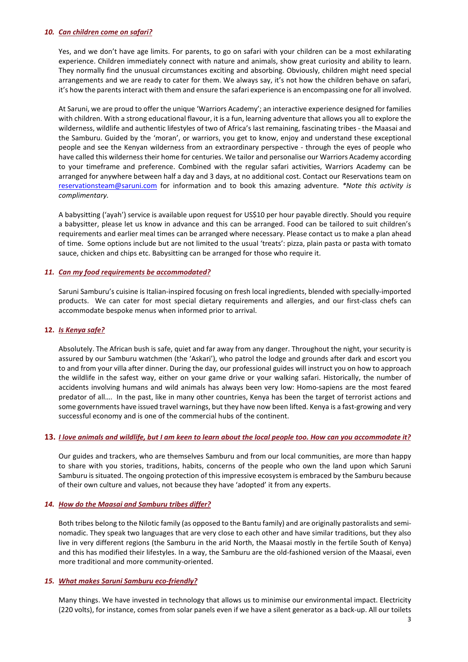#### *10. Can [children](http://www.sarunimara.com/questions/6.htm) come on safari?*

Yes, and we don't have age limits. For parents, to go on safari with your children can be a most exhilarating experience. Children immediately connect with nature and animals, show great curiosity and ability to learn. They normally find the unusual circumstances exciting and absorbing. Obviously, children might need special arrangements and we are ready to cater for them. We always say, it's not how the children behave on safari, it's how the parents interact with them and ensure the safari experience is an encompassing one for all involved.

At Saruni, we are proud to offer the unique 'Warriors Academy'; an interactive experience designed for families with children. With a strong educational flavour, it is a fun, learning adventure that allows you all to explore the wilderness, wildlife and authentic lifestyles of two of Africa's last remaining, fascinating tribes - the Maasai and the Samburu. Guided by the 'moran', or warriors, you get to know, enjoy and understand these exceptional people and see the Kenyan wilderness from an extraordinary perspective - through the eyes of people who have called this wilderness their home for centuries. We tailor and personalise our Warriors Academy according to your timeframe and preference. Combined with the regular safari activities, Warriors Academy can be arranged for anywhere between half a day and 3 days, at no additional cost. Contact our Reservations team on [reservationsteam@saruni.com](mailto:reservationsteam@saruni.com) for information and to book this amazing adventure. *\*Note this activity is complimentary.*

A babysitting ('ayah') service is available upon request for US\$10 per hour payable directly. Should you require a babysitter, please let us know in advance and this can be arranged. Food can be tailored to suit children's requirements and earlier meal times can be arranged where necessary. Please contact us to make a plan ahead of time. Some options include but are not limited to the usual 'treats': pizza, plain pasta or pasta with tomato sauce, chicken and chips etc. Babysitting can be arranged for those who require it.

## *11. Can my food requirements be [accommodated?](http://www.sarunimara.com/questions/7.htm)*

Saruni Samburu's cuisine is Italian-inspired focusing on fresh local ingredients, blended with specially-imported products. We can cater for most special dietary requirements and allergies, and our first-class chefs can accommodate bespoke menus when informed prior to arrival.

# **12.** *Is [Kenya](http://www.sarunimara.com/questions/1.htm) safe?*

Absolutely. The African bush is safe, quiet and far away from any danger. Throughout the night, your security is assured by our Samburu watchmen (the 'Askari'), who patrol the lodge and grounds after dark and escort you to and from your villa after dinner. During the day, our professional guides will instruct you on how to approach the wildlife in the safest way, either on your game drive or your walking safari. Historically, the number of accidents involving humans and wild animals has always been very low: Homo-sapiens are the most feared predator of all…. In the past, like in many other countries, Kenya has been the target of terrorist actions and some governments have issued travel warnings, but they have now been lifted. Kenya is a fast-growing and very successful economy and is one of the commercial hubs of the continent.

## 13. *Hove animals and wildlife, but I am keen to learn about the local people too. How can you accommodate it?*

Our guides and trackers, who are themselves Samburu and from our local communities, are more than happy to share with you stories, traditions, habits, concerns of the people who own the land upon which Saruni Samburu is situated. The ongoing protection of this impressive ecosystem is embraced by the Samburu because of their own culture and values, not because they have 'adopted' it from any experts.

## *14. How do the Maasai and Samburu tribes differ?*

Both tribes belong to the Nilotic family (as opposed to the Bantu family) and are originally pastoralists and seminomadic. They speak two languages that are very close to each other and have similar traditions, but they also live in very different regions (the Samburu in the arid North, the Maasai mostly in the fertile South of Kenya) and this has modified their lifestyles. In a way, the Samburu are the old-fashioned version of the Maasai, even more traditional and more community-oriented.

## *15. What makes Saruni Samburu [eco-friendly?](http://www.sarunimara.com/questions/9.htm)*

Many things. We have invested in technology that allows us to minimise our environmental impact. Electricity (220 volts), for instance, comes from solar panels even if we have a silent generator as a back-up. All our toilets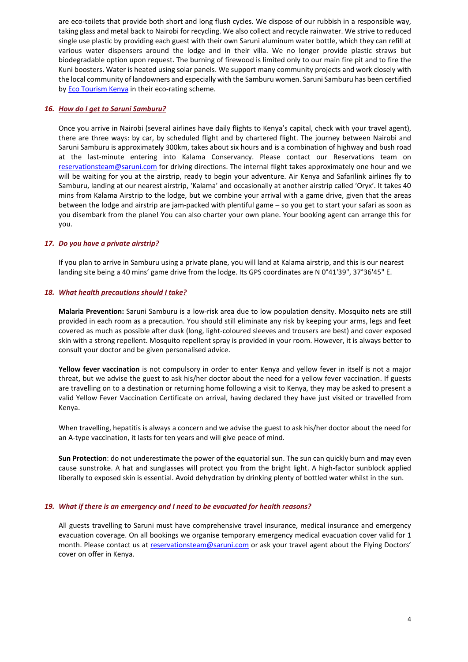are eco-toilets that provide both short and long flush cycles. We dispose of our rubbish in a responsible way, taking glass and metal back to Nairobi for recycling. We also collect and recycle rainwater. We strive to reduced single use plastic by providing each guest with their own Saruni aluminum water bottle, which they can refill at various water dispensers around the lodge and in their villa. We no longer provide plastic straws but biodegradable option upon request. The burning of firewood is limited only to our main fire pit and to fire the Kuni boosters. Water is heated using solar panels. We support many community projects and work closely with the local community of landowners and especially with the Samburu women. Saruni Samburu has been certified by **Eco Tourism Kenya** in their eco-rating scheme.

### *16. How do I get to Saruni Samburu?*

Once you arrive in Nairobi (several airlines have daily flights to Kenya's capital, check with your travel agent), there are three ways: by car, by scheduled flight and by chartered flight. The journey between Nairobi and Saruni Samburu is approximately 300km, takes about six hours and is a combination of highway and bush road at the last-minute entering into Kalama Conservancy. Please contact our Reservations team on [reservationsteam@saruni.com](mailto:reservationsteam@saruni.com) for driving directions. The internal flight takes approximately one hour and we will be waiting for you at the airstrip, ready to begin your adventure. Air Kenya and Safarilink airlines fly to Samburu, landing at our nearest airstrip, 'Kalama' and occasionally at another airstrip called 'Oryx'. It takes 40 mins from Kalama Airstrip to the lodge, but we combine your arrival with a game drive, given that the areas between the lodge and airstrip are jam-packed with plentiful game – so you get to start your safari as soon as you disembark from the plane! You can also charter your own plane. Your booking agent can arrange this for you.

## *17. Do you have a private [airstrip?](http://www.sarunimara.com/questions/11.htm)*

If you plan to arrive in Samburu using a private plane, you will land at Kalama airstrip, and this is our nearest landing site being a 40 mins' game drive from the lodge. Its GPS coordinates are N 0°41'39", 37°36'45" E.

### *18. What health [precautions](http://www.sarunimara.com/questions/12.htm) should I take?*

**Malaria Prevention:** Saruni Samburu is a low-risk area due to low population density. Mosquito nets are still provided in each room as a precaution. You should still eliminate any risk by keeping your arms, legs and feet covered as much as possible after dusk (long, light-coloured sleeves and trousers are best) and cover exposed skin with a strong repellent. Mosquito repellent spray is provided in your room. However, it is always better to consult your doctor and be given personalised advice.

**Yellow fever vaccination** is not compulsory in order to enter Kenya and yellow fever in itself is not a major threat, but we advise the guest to ask his/her doctor about the need for a yellow fever vaccination. If guests are travelling on to a destination or returning home following a visit to Kenya, they may be asked to present a valid Yellow Fever Vaccination Certificate on arrival, having declared they have just visited or travelled from Kenya.

When travelling, hepatitis is always a concern and we advise the guest to ask his/her doctor about the need for an A-type vaccination, it lasts for ten years and will give peace of mind.

**Sun Protection**: do not underestimate the power of the equatorial sun. The sun can quickly burn and may even cause sunstroke. A hat and sunglasses will protect you from the bright light. A high-factor sunblock applied liberally to exposed skin is essential. Avoid dehydration by drinking plenty of bottled water whilst in the sun.

## *19. What if there is an [emergency](http://www.sarunimara.com/questions/14.htm) and I need to be evacuated for health reasons?*

All guests travelling to Saruni must have comprehensive travel insurance, medical insurance and emergency evacuation coverage. On all bookings we organise temporary emergency medical evacuation cover valid for 1 month. Please contact us at [reservationsteam@saruni.com](mailto:reservationsteam@saruni.com) or ask your travel agent about the Flying Doctors' cover on offer in Kenya.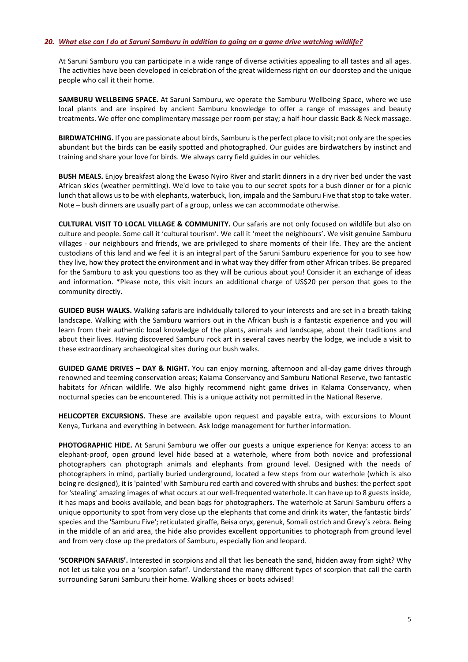#### 20. What else can I do at Saruni Samburu in addition to aoina on a game drive watchina wildlife?

At Saruni Samburu you can participate in a wide range of diverse activities appealing to all tastes and all ages. The activities have been developed in celebration of the great wilderness right on our doorstep and the unique people who call it their home.

**SAMBURU WELLBEING SPACE.** At Saruni Samburu, we operate the Samburu Wellbeing Space, where we use local plants and are inspired by ancient Samburu knowledge to offer a range of massages and beauty treatments. We offer one complimentary massage per room per stay; a half-hour classic Back & Neck massage.

**BIRDWATCHING.** If you are passionate about birds, Samburu is the perfect place to visit; not only are the species abundant but the birds can be easily spotted and photographed. Our guides are birdwatchers by instinct and training and share your love for birds. We always carry field guides in our vehicles.

**BUSH MEALS.** Enjoy breakfast along the Ewaso Nyiro River and starlit dinners in a dry river bed under the vast African skies (weather permitting). We'd love to take you to our secret spots for a bush dinner or for a picnic lunch that allows us to be with elephants, waterbuck, lion, impala and the Samburu Five that stop to take water. Note – bush dinners are usually part of a group, unless we can accommodate otherwise.

**CULTURAL VISIT TO LOCAL VILLAGE & COMMUNITY.** Our safaris are not only focused on wildlife but also on culture and people. Some call it 'cultural tourism'. We call it 'meet the neighbours'. We visit genuine Samburu villages - our neighbours and friends, we are privileged to share moments of their life. They are the ancient custodians of this land and we feel it is an integral part of the Saruni Samburu experience for you to see how they live, how they protect the environment and in what way they differ from other African tribes. Be prepared for the Samburu to ask you questions too as they will be curious about you! Consider it an exchange of ideas and information. \*Please note, this visit incurs an additional charge of US\$20 per person that goes to the community directly.

**GUIDED BUSH WALKS.** Walking safaris are individually tailored to your interests and are set in a breath-taking landscape. Walking with the Samburu warriors out in the African bush is a fantastic experience and you will learn from their authentic local knowledge of the plants, animals and landscape, about their traditions and about their lives. Having discovered Samburu rock art in several caves nearby the lodge, we include a visit to these extraordinary archaeological sites during our bush walks.

**GUIDED GAME DRIVES – DAY & NIGHT.** You can enjoy morning, afternoon and all-day game drives through renowned and teeming conservation areas; Kalama Conservancy and Samburu National Reserve, two fantastic habitats for African wildlife. We also highly recommend night game drives in Kalama Conservancy, when nocturnal species can be encountered. This is a unique activity not permitted in the National Reserve.

**HELICOPTER EXCURSIONS.** These are available upon request and payable extra, with excursions to Mount Kenya, Turkana and everything in between. Ask lodge management for further information.

**PHOTOGRAPHIC HIDE.** At Saruni Samburu we offer our guests a unique experience for Kenya: access to an elephant-proof, open ground level hide based at a waterhole, where from both novice and professional photographers can photograph animals and elephants from ground level. Designed with the needs of photographers in mind, partially buried underground, located a few steps from our waterhole (which is also being re-designed), it is 'painted' with Samburu red earth and covered with shrubs and bushes: the perfect spot for 'stealing' amazing images of what occurs at our well-frequented waterhole. It can have up to 8 guests inside, it has maps and books available, and bean bags for photographers. The waterhole at Saruni Samburu offers a unique opportunity to spot from very close up the elephants that come and drink its water, the fantastic birds' species and the 'Samburu Five'; reticulated giraffe, Beisa oryx, gerenuk, Somali ostrich and Grevy's zebra. Being in the middle of an arid area, the hide also provides excellent opportunities to photograph from ground level and from very close up the predators of Samburu, especially lion and leopard.

**'SCORPION SAFARIS'.** Interested in scorpions and all that lies beneath the sand, hidden away from sight? Why not let us take you on a 'scorpion safari'. Understand the many different types of scorpion that call the earth surrounding Saruni Samburu their home. Walking shoes or boots advised!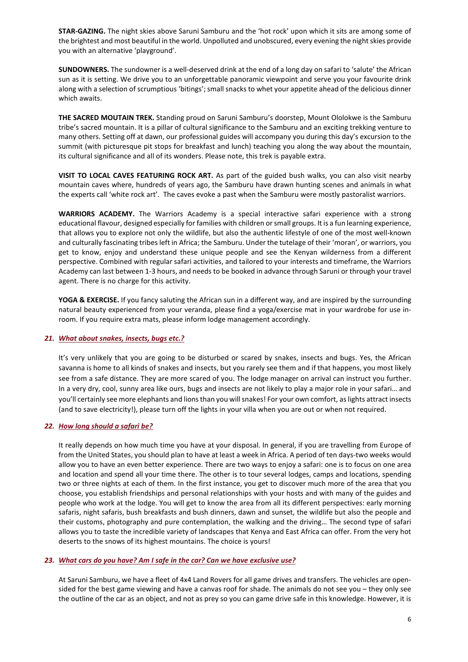**STAR-GAZING.** The night skies above Saruni Samburu and the 'hot rock' upon which it sits are among some of the brightest and most beautiful in the world. Unpolluted and unobscured, every evening the night skies provide you with an alternative 'playground'.

**SUNDOWNERS.** The sundowner is a well-deserved drink at the end of a long day on safari to 'salute' the African sun as it is setting. We drive you to an unforgettable panoramic viewpoint and serve you your favourite drink along with a selection of scrumptious 'bitings'; small snacks to whet your appetite ahead of the delicious dinner which awaits.

**THE SACRED MOUTAIN TREK.** Standing proud on Saruni Samburu's doorstep, Mount Ololokwe is the Samburu tribe's sacred mountain. It is a pillar of cultural significance to the Samburu and an exciting trekking venture to many others. Setting off at dawn, our professional guides will accompany you during this day's excursion to the summit (with picturesque pit stops for breakfast and lunch) teaching you along the way about the mountain, its cultural significance and all of its wonders. Please note, this trek is payable extra.

**VISIT TO LOCAL CAVES FEATURING ROCK ART.** As part of the guided bush walks, you can also visit nearby mountain caves where, hundreds of years ago, the Samburu have drawn hunting scenes and animals in what the experts call 'white rock art'. The caves evoke a past when the Samburu were mostly pastoralist warriors.

**WARRIORS ACADEMY.** The Warriors Academy is a special interactive safari experience with a strong educational flavour, designed especially for families with children or small groups. It is a fun learning experience, that allows you to explore not only the wildlife, but also the authentic lifestyle of one of the most well-known and culturally fascinating tribes left in Africa; the Samburu. Under the tutelage of their 'moran', or warriors, you get to know, enjoy and understand these unique people and see the Kenyan wilderness from a different perspective. Combined with regular safari activities, and tailored to your interests and timeframe, the Warriors Academy can last between 1-3 hours, and needs to be booked in advance through Saruni or through your travel agent. There is no charge for this activity.

**YOGA & EXERCISE.** If you fancy saluting the African sun in a different way, and are inspired by the surrounding natural beauty experienced from your veranda, please find a yoga/exercise mat in your wardrobe for use inroom. If you require extra mats, please inform lodge management accordingly.

## *21. What about [snakes,](http://www.sarunimara.com/questions/13.htm) insects, bugs etc.?*

It's very unlikely that you are going to be disturbed or scared by snakes, insects and bugs. Yes, the African savanna is home to all kinds of snakes and insects, but you rarely see them and if that happens, you most likely see from a safe distance. They are more scared of you. The lodge manager on arrival can instruct you further. In a very dry, cool, sunny area like ours, bugs and insects are not likely to play a major role in your safari… and you'll certainly see more elephants and lions than you will snakes! For your own comfort, as lights attract insects (and to save electricity!), please turn off the lights in your villa when you are out or when not required.

## *22. How long [should](http://www.sarunimara.com/questions/15.htm) a safari be?*

It really depends on how much time you have at your disposal. In general, if you are travelling from Europe of from the United States, you should plan to have at least a week in Africa. A period of ten days-two weeks would allow you to have an even better experience. There are two ways to enjoy a safari: one is to focus on one area and location and spend all your time there. The other is to tour several lodges, camps and locations, spending two or three nights at each of them. In the first instance, you get to discover much more of the area that you choose, you establish friendships and personal relationships with your hosts and with many of the guides and people who work at the lodge. You will get to know the area from all its different perspectives: early morning safaris, night safaris, bush breakfasts and bush dinners, dawn and sunset, the wildlife but also the people and their customs, photography and pure contemplation, the walking and the driving… The second type of safari allows you to taste the incredible variety of landscapes that Kenya and East Africa can offer. From the very hot deserts to the snows of its highest mountains. The choice is yours!

## *23. What cars do you have? Am I safe in the car? Can we have exclusive use?*

At Saruni Samburu, we have a fleet of 4x4 Land Rovers for all game drives and transfers. The vehicles are opensided for the best game viewing and have a canvas roof for shade. The animals do not see you – they only see the outline of the car as an object, and not as prey so you can game drive safe in this knowledge. However, it is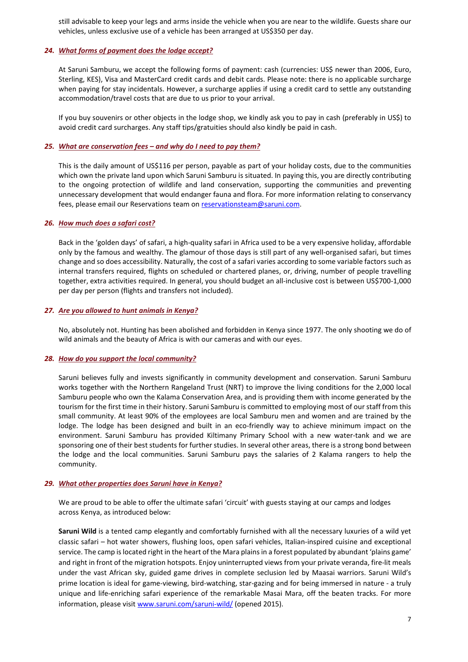still advisable to keep your legs and arms inside the vehicle when you are near to the wildlife. Guests share our vehicles, unless exclusive use of a vehicle has been arranged at US\$350 per day.

# *24. What forms of payment does the lodge accept?*

At Saruni Samburu, we accept the following forms of payment: cash (currencies: US\$ newer than 2006, Euro, Sterling, KES), Visa and MasterCard credit cards and debit cards. Please note: there is no applicable surcharge when paying for stay incidentals. However, a surcharge applies if using a credit card to settle any outstanding accommodation/travel costs that are due to us prior to your arrival.

If you buy souvenirs or other objects in the lodge shop, we kindly ask you to pay in cash (preferably in US\$) to avoid credit card surcharges. Any staff tips/gratuities should also kindly be paid in cash.

# *25. What are conservation fees – and why do I need to pay them?*

This is the daily amount of US\$116 per person, payable as part of your holiday costs, due to the communities which own the private land upon which Saruni Samburu is situated. In paying this, you are directly contributing to the ongoing protection of wildlife and land conservation, supporting the communities and preventing unnecessary development that would endanger fauna and flora. For more information relating to conservancy fees, please email our Reservations team on [reservationsteam@saruni.com.](mailto:reservationsteam@saruni.com)

## *26. How much does a [safari](http://www.sarunimara.com/questions/17.htm) cost?*

Back in the 'golden days' of safari, a high-quality safari in Africa used to be a very expensive holiday, affordable only by the famous and wealthy. The glamour of those days is still part of any well-organised safari, but times change and so does accessibility. Naturally, the cost of a safari varies according to some variable factors such as internal transfers required, flights on scheduled or chartered planes, or, driving, number of people travelling together, extra activities required. In general, you should budget an all-inclusive cost is between US\$700-1,000 per day per person (flights and transfers not included).

## *27. Are you [allowed](http://www.sarunimara.com/questions/18.htm) to hunt animals in Kenya?*

No, absolutely not. Hunting has been abolished and forbidden in Kenya since 1977. The only shooting we do of wild animals and the beauty of Africa is with our cameras and with our eyes.

## *28. How do you support the local community?*

Saruni believes fully and invests significantly in community development and conservation. Saruni Samburu works together with the Northern Rangeland Trust (NRT) to improve the living conditions for the 2,000 local Samburu people who own the Kalama Conservation Area, and is providing them with income generated by the tourism for the first time in their history. Saruni Samburu is committed to employing most of our staff from this small community. At least 90% of the employees are local Samburu men and women and are trained by the lodge. The lodge has been designed and built in an eco-friendly way to achieve minimum impact on the environment. Saruni Samburu has provided Kiltimany Primary School with a new water-tank and we are sponsoring one of their best students for further studies. In several other areas, there is a strong bond between the lodge and the local communities. Saruni Samburu pays the salaries of 2 Kalama rangers to help the community.

## *29. What other properties does Saruni have in Kenya?*

We are proud to be able to offer the ultimate safari 'circuit' with guests staying at our camps and lodges across Kenya, as introduced below:

**Saruni Wild** is a tented camp elegantly and comfortably furnished with all the necessary luxuries of a wild yet classic safari – hot water showers, flushing loos, open safari vehicles, Italian-inspired cuisine and exceptional service. The camp is located right in the heart of the Mara plains in a forest populated by abundant 'plains game' and right in front of the migration hotspots. Enjoy uninterrupted views from your private veranda, fire-lit meals under the vast African sky, guided game drives in complete seclusion led by Maasai warriors. Saruni Wild's prime location is ideal for game-viewing, bird-watching, star-gazing and for being immersed in nature - a truly unique and life-enriching safari experience of the remarkable Masai Mara, off the beaten tracks. For more information, please visit [www.saruni.com/saruni-wild/](http://www.saruni.com/saruni-wild/) (opened 2015).